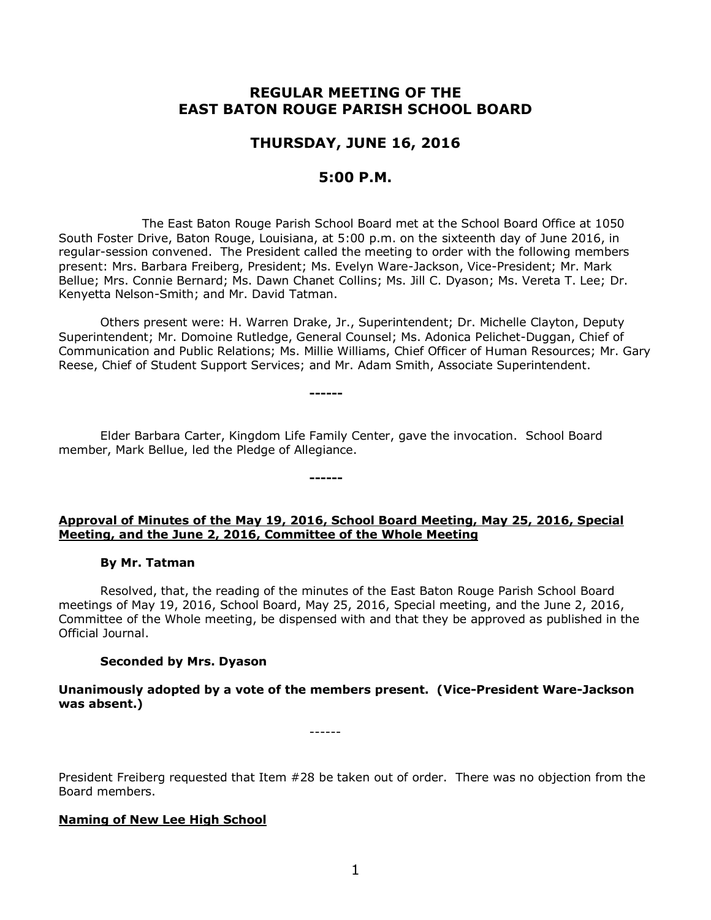# **REGULAR MEETING OF THE EAST BATON ROUGE PARISH SCHOOL BOARD**

# **THURSDAY, JUNE 16, 2016**

## **5:00 P.M.**

The East Baton Rouge Parish School Board met at the School Board Office at 1050 South Foster Drive, Baton Rouge, Louisiana, at 5:00 p.m. on the sixteenth day of June 2016, in regular-session convened. The President called the meeting to order with the following members present: Mrs. Barbara Freiberg, President; Ms. Evelyn Ware-Jackson, Vice-President; Mr. Mark Bellue; Mrs. Connie Bernard; Ms. Dawn Chanet Collins; Ms. Jill C. Dyason; Ms. Vereta T. Lee; Dr. Kenyetta Nelson-Smith; and Mr. David Tatman.

Others present were: H. Warren Drake, Jr., Superintendent; Dr. Michelle Clayton, Deputy Superintendent; Mr. Domoine Rutledge, General Counsel; Ms. Adonica Pelichet-Duggan, Chief of Communication and Public Relations; Ms. Millie Williams, Chief Officer of Human Resources; Mr. Gary Reese, Chief of Student Support Services; and Mr. Adam Smith, Associate Superintendent.

Elder Barbara Carter, Kingdom Life Family Center, gave the invocation. School Board member, Mark Bellue, led the Pledge of Allegiance.

**------**

**------**

## **Approval of Minutes of the May 19, 2016, School Board Meeting, May 25, 2016, Special Meeting, and the June 2, 2016, Committee of the Whole Meeting**

#### **By Mr. Tatman**

Resolved, that, the reading of the minutes of the East Baton Rouge Parish School Board meetings of May 19, 2016, School Board, May 25, 2016, Special meeting, and the June 2, 2016, Committee of the Whole meeting, be dispensed with and that they be approved as published in the Official Journal.

## **Seconded by Mrs. Dyason**

## **Unanimously adopted by a vote of the members present. (Vice-President Ware-Jackson was absent.)**

------

President Freiberg requested that Item #28 be taken out of order. There was no objection from the Board members.

#### **Naming of New Lee High School**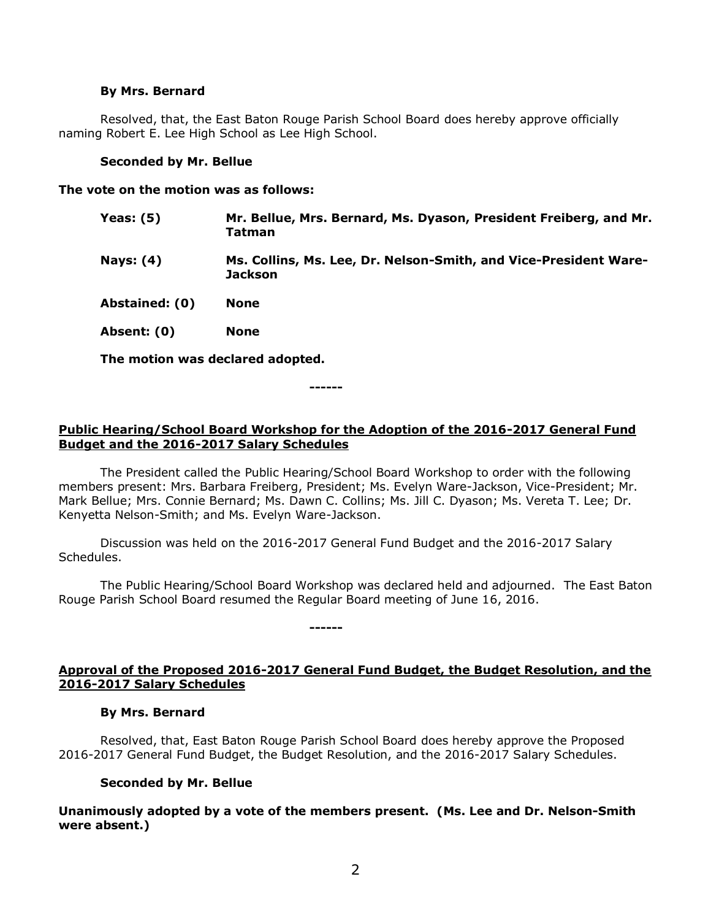#### **By Mrs. Bernard**

Resolved, that, the East Baton Rouge Parish School Board does hereby approve officially naming Robert E. Lee High School as Lee High School.

#### **Seconded by Mr. Bellue**

#### **The vote on the motion was as follows:**

| Yeas: (5)                        | Mr. Bellue, Mrs. Bernard, Ms. Dyason, President Freiberg, and Mr.<br>Tatman        |  |
|----------------------------------|------------------------------------------------------------------------------------|--|
| <b>Nays: (4)</b>                 | Ms. Collins, Ms. Lee, Dr. Nelson-Smith, and Vice-President Ware-<br><b>Jackson</b> |  |
| Abstained: (0)                   | <b>None</b>                                                                        |  |
| Absent: (0)                      | <b>None</b>                                                                        |  |
| The motion was declared adopted. |                                                                                    |  |
|                                  |                                                                                    |  |

## **Public Hearing/School Board Workshop for the Adoption of the 2016-2017 General Fund Budget and the 2016-2017 Salary Schedules**

**------**

The President called the Public Hearing/School Board Workshop to order with the following members present: Mrs. Barbara Freiberg, President; Ms. Evelyn Ware-Jackson, Vice-President; Mr. Mark Bellue; Mrs. Connie Bernard; Ms. Dawn C. Collins; Ms. Jill C. Dyason; Ms. Vereta T. Lee; Dr. Kenyetta Nelson-Smith; and Ms. Evelyn Ware-Jackson.

Discussion was held on the 2016-2017 General Fund Budget and the 2016-2017 Salary Schedules.

**------**

The Public Hearing/School Board Workshop was declared held and adjourned. The East Baton Rouge Parish School Board resumed the Regular Board meeting of June 16, 2016.

## **Approval of the Proposed 2016-2017 General Fund Budget, the Budget Resolution, and the 2016-2017 Salary Schedules**

#### **By Mrs. Bernard**

Resolved, that, East Baton Rouge Parish School Board does hereby approve the Proposed 2016-2017 General Fund Budget, the Budget Resolution, and the 2016-2017 Salary Schedules.

#### **Seconded by Mr. Bellue**

**Unanimously adopted by a vote of the members present. (Ms. Lee and Dr. Nelson-Smith were absent.)**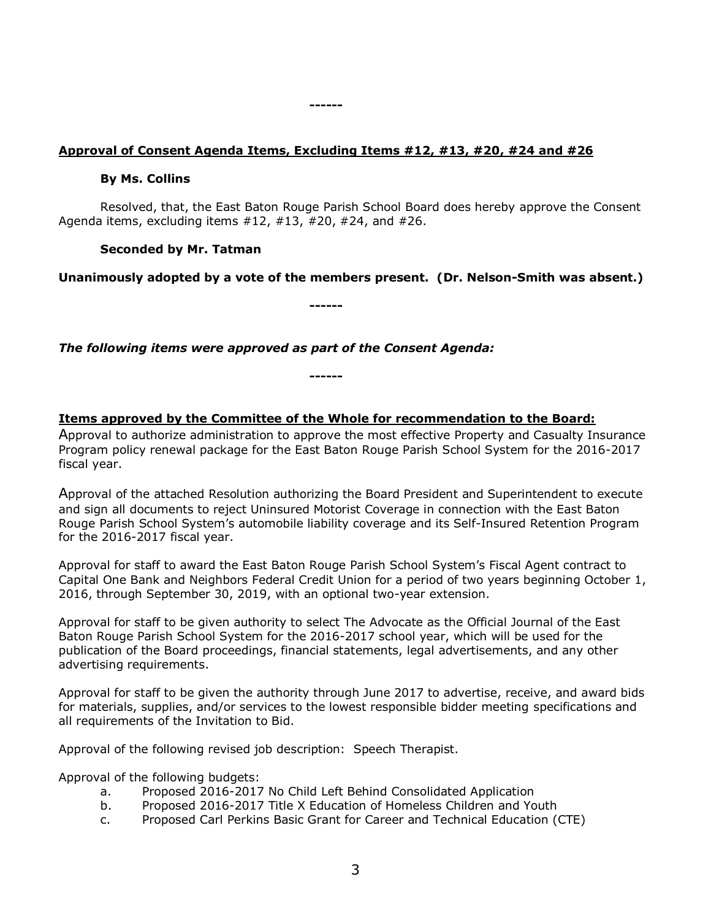## **Approval of Consent Agenda Items, Excluding Items #12, #13, #20, #24 and #26**

**------**

## **By Ms. Collins**

Resolved, that, the East Baton Rouge Parish School Board does hereby approve the Consent Agenda items, excluding items #12, #13, #20, #24, and #26.

## **Seconded by Mr. Tatman**

**Unanimously adopted by a vote of the members present. (Dr. Nelson-Smith was absent.)**

*The following items were approved as part of the Consent Agenda:*

## **Items approved by the Committee of the Whole for recommendation to the Board:**

**------**

**------**

Approval to authorize administration to approve the most effective Property and Casualty Insurance Program policy renewal package for the East Baton Rouge Parish School System for the 2016-2017 fiscal year.

Approval of the attached Resolution authorizing the Board President and Superintendent to execute and sign all documents to reject Uninsured Motorist Coverage in connection with the East Baton Rouge Parish School System's automobile liability coverage and its Self-Insured Retention Program for the 2016-2017 fiscal year.

Approval for staff to award the East Baton Rouge Parish School System's Fiscal Agent contract to Capital One Bank and Neighbors Federal Credit Union for a period of two years beginning October 1, 2016, through September 30, 2019, with an optional two-year extension.

Approval for staff to be given authority to select The Advocate as the Official Journal of the East Baton Rouge Parish School System for the 2016-2017 school year, which will be used for the publication of the Board proceedings, financial statements, legal advertisements, and any other advertising requirements.

Approval for staff to be given the authority through June 2017 to advertise, receive, and award bids for materials, supplies, and/or services to the lowest responsible bidder meeting specifications and all requirements of the Invitation to Bid.

Approval of the following revised job description: Speech Therapist.

Approval of the following budgets:

- a. Proposed 2016-2017 No Child Left Behind Consolidated Application
- b. Proposed 2016-2017 Title X Education of Homeless Children and Youth
- c. Proposed Carl Perkins Basic Grant for Career and Technical Education (CTE)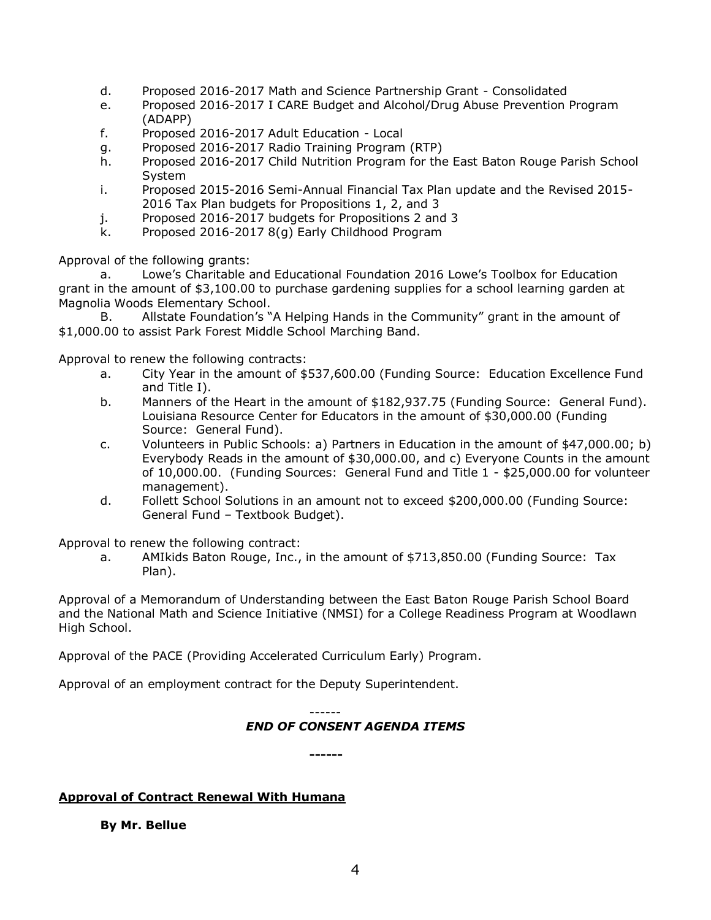- d. Proposed 2016-2017 Math and Science Partnership Grant Consolidated
- e. Proposed 2016-2017 I CARE Budget and Alcohol/Drug Abuse Prevention Program (ADAPP)
- f. Proposed 2016-2017 Adult Education Local
- g. Proposed 2016-2017 Radio Training Program (RTP)
- h. Proposed 2016-2017 Child Nutrition Program for the East Baton Rouge Parish School System
- i. Proposed 2015-2016 Semi-Annual Financial Tax Plan update and the Revised 2015- 2016 Tax Plan budgets for Propositions 1, 2, and 3
- j. Proposed 2016-2017 budgets for Propositions 2 and 3
- k. Proposed 2016-2017 8(g) Early Childhood Program

Approval of the following grants:

a. Lowe's Charitable and Educational Foundation 2016 Lowe's Toolbox for Education grant in the amount of \$3,100.00 to purchase gardening supplies for a school learning garden at Magnolia Woods Elementary School.

B. Allstate Foundation's "A Helping Hands in the Community" grant in the amount of \$1,000.00 to assist Park Forest Middle School Marching Band.

Approval to renew the following contracts:

- a. City Year in the amount of \$537,600.00 (Funding Source: Education Excellence Fund and Title I).
- b. Manners of the Heart in the amount of \$182,937.75 (Funding Source: General Fund). Louisiana Resource Center for Educators in the amount of \$30,000.00 (Funding Source: General Fund).
- c. Volunteers in Public Schools: a) Partners in Education in the amount of \$47,000.00; b) Everybody Reads in the amount of \$30,000.00, and c) Everyone Counts in the amount of 10,000.00. (Funding Sources: General Fund and Title 1 - \$25,000.00 for volunteer management).
- d. Follett School Solutions in an amount not to exceed \$200,000.00 (Funding Source: General Fund – Textbook Budget).

Approval to renew the following contract:

a. AMIkids Baton Rouge, Inc., in the amount of \$713,850.00 (Funding Source: Tax Plan).

Approval of a Memorandum of Understanding between the East Baton Rouge Parish School Board and the National Math and Science Initiative (NMSI) for a College Readiness Program at Woodlawn High School.

Approval of the PACE (Providing Accelerated Curriculum Early) Program.

Approval of an employment contract for the Deputy Superintendent.

------ *END OF CONSENT AGENDA ITEMS*

**------**

**Approval of Contract Renewal With Humana**

**By Mr. Bellue**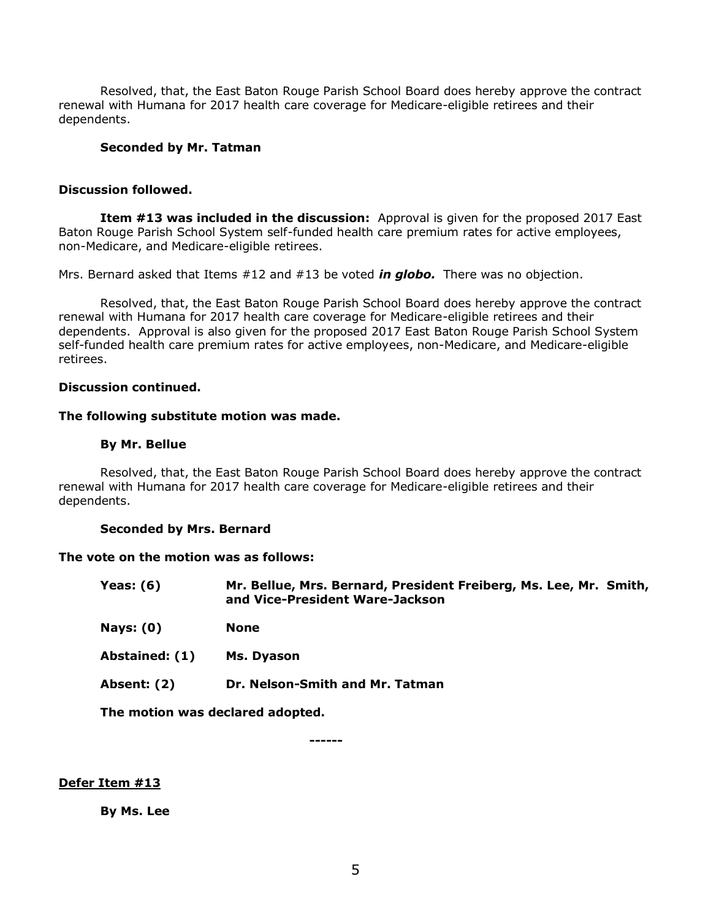Resolved, that, the East Baton Rouge Parish School Board does hereby approve the contract renewal with Humana for 2017 health care coverage for Medicare-eligible retirees and their dependents.

### **Seconded by Mr. Tatman**

### **Discussion followed.**

**Item #13 was included in the discussion:** Approval is given for the proposed 2017 East Baton Rouge Parish School System self-funded health care premium rates for active employees, non-Medicare, and Medicare-eligible retirees.

Mrs. Bernard asked that Items #12 and #13 be voted *in globo.* There was no objection.

Resolved, that, the East Baton Rouge Parish School Board does hereby approve the contract renewal with Humana for 2017 health care coverage for Medicare-eligible retirees and their dependents. Approval is also given for the proposed 2017 East Baton Rouge Parish School System self-funded health care premium rates for active employees, non-Medicare, and Medicare-eligible retirees.

### **Discussion continued.**

### **The following substitute motion was made.**

### **By Mr. Bellue**

Resolved, that, the East Baton Rouge Parish School Board does hereby approve the contract renewal with Humana for 2017 health care coverage for Medicare-eligible retirees and their dependents.

#### **Seconded by Mrs. Bernard**

#### **The vote on the motion was as follows:**

| Yeas: (6) | Mr. Bellue, Mrs. Bernard, President Freiberg, Ms. Lee, Mr. Smith, |
|-----------|-------------------------------------------------------------------|
|           | and Vice-President Ware-Jackson                                   |

**Nays: (0) None**

- **Abstained: (1) Ms. Dyason**
- **Absent: (2) Dr. Nelson-Smith and Mr. Tatman**

**The motion was declared adopted.**

**------**

#### **Defer Item #13**

**By Ms. Lee**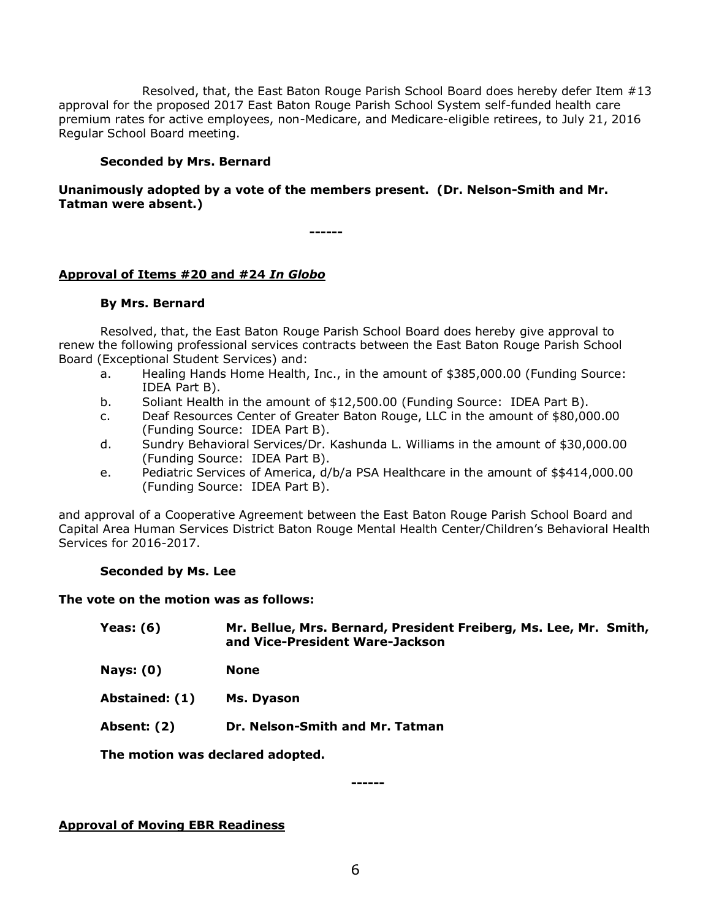Resolved, that, the East Baton Rouge Parish School Board does hereby defer Item #13 approval for the proposed 2017 East Baton Rouge Parish School System self-funded health care premium rates for active employees, non-Medicare, and Medicare-eligible retirees, to July 21, 2016 Regular School Board meeting.

## **Seconded by Mrs. Bernard**

## **Unanimously adopted by a vote of the members present. (Dr. Nelson-Smith and Mr. Tatman were absent.)**

**------**

## **Approval of Items #20 and #24** *In Globo*

### **By Mrs. Bernard**

Resolved, that, the East Baton Rouge Parish School Board does hereby give approval to renew the following professional services contracts between the East Baton Rouge Parish School Board (Exceptional Student Services) and:

- a. Healing Hands Home Health, Inc., in the amount of \$385,000.00 (Funding Source: IDEA Part B).
- b. Soliant Health in the amount of \$12,500.00 (Funding Source: IDEA Part B).
- c. Deaf Resources Center of Greater Baton Rouge, LLC in the amount of \$80,000.00 (Funding Source: IDEA Part B).
- d. Sundry Behavioral Services/Dr. Kashunda L. Williams in the amount of \$30,000.00 (Funding Source: IDEA Part B).
- e. Pediatric Services of America, d/b/a PSA Healthcare in the amount of \$\$414,000.00 (Funding Source: IDEA Part B).

and approval of a Cooperative Agreement between the East Baton Rouge Parish School Board and Capital Area Human Services District Baton Rouge Mental Health Center/Children's Behavioral Health Services for 2016-2017.

## **Seconded by Ms. Lee**

#### **The vote on the motion was as follows:**

| Yeas: $(6)$    | Mr. Bellue, Mrs. Bernard, President Freiberg, Ms. Lee, Mr. Smith,<br>and Vice-President Ware-Jackson |
|----------------|------------------------------------------------------------------------------------------------------|
| Nays: $(0)$    | <b>None</b>                                                                                          |
| Abstained: (1) | Ms. Dyason                                                                                           |
| Absent: (2)    | Dr. Nelson-Smith and Mr. Tatman                                                                      |

**The motion was declared adopted.**

**------**

#### **Approval of Moving EBR Readiness**